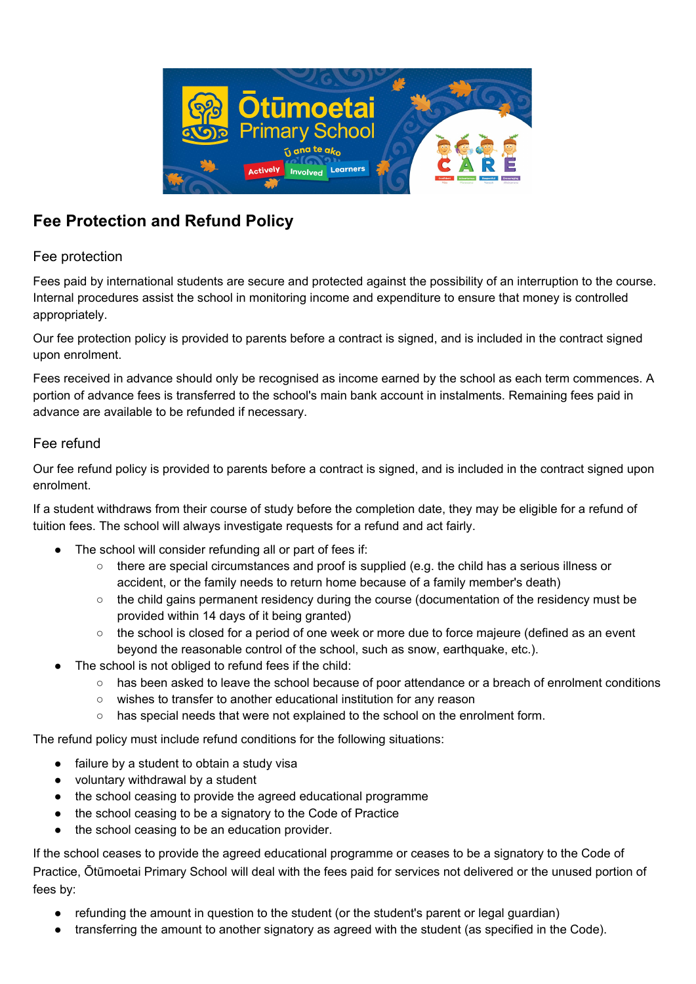

# **Fee Protection and Refund Policy**

## Fee protection

Fees paid by international students are secure and protected against the possibility of an interruption to the course. Internal procedures assist the school in monitoring income and expenditure to ensure that money is controlled appropriately.

Our fee protection policy is provided to parents before a contract is signed, and is included in the contract signed upon enrolment.

Fees received in advance should only be recognised as income earned by the school as each term commences. A portion of advance fees is transferred to the school's main bank account in instalments. Remaining fees paid in advance are available to be refunded if necessary.

## Fee refund

Our fee refund policy is provided to parents before a contract is signed, and is included in the contract signed upon enrolment.

If a student withdraws from their course of study before the completion date, they may be eligible for a refund of tuition fees. The school will always investigate requests for a refund and act fairly.

- The school will consider refunding all or part of fees if:
	- there are special circumstances and proof is supplied (e.g. the child has a serious illness or accident, or the family needs to return home because of a family member's death)
	- the child gains permanent residency during the course (documentation of the residency must be provided within 14 days of it being granted)
	- the school is closed for a period of one week or more due to force majeure (defined as an event beyond the reasonable control of the school, such as snow, earthquake, etc.).
- The school is not obliged to refund fees if the child:
	- has been asked to leave the school because of poor attendance or a breach of enrolment conditions
	- wishes to transfer to another educational institution for any reason
	- has special needs that were not explained to the school on the enrolment form.

The refund policy must include refund conditions for the following situations:

- failure by a student to obtain a study visa
- voluntary withdrawal by a student
- the school ceasing to provide the agreed educational programme
- the school ceasing to be a signatory to the Code of Practice
- the school ceasing to be an education provider.

If the school ceases to provide the agreed educational programme or ceases to be a signatory to the Code of Practice, Ōtūmoetai Primary School will deal with the fees paid for services not delivered or the unused portion of fees by:

- refunding the amount in question to the student (or the student's parent or legal guardian)
- transferring the amount to another signatory as agreed with the student (as specified in the Code).